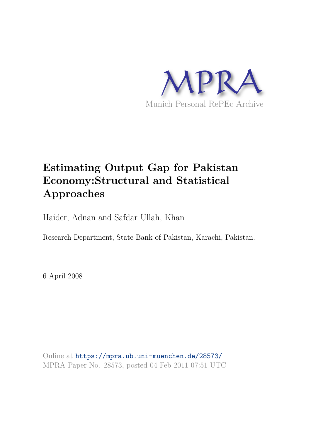

# **Estimating Output Gap for Pakistan Economy:Structural and Statistical Approaches**

Haider, Adnan and Safdar Ullah, Khan

Research Department, State Bank of Pakistan, Karachi, Pakistan.

6 April 2008

Online at https://mpra.ub.uni-muenchen.de/28573/ MPRA Paper No. 28573, posted 04 Feb 2011 07:51 UTC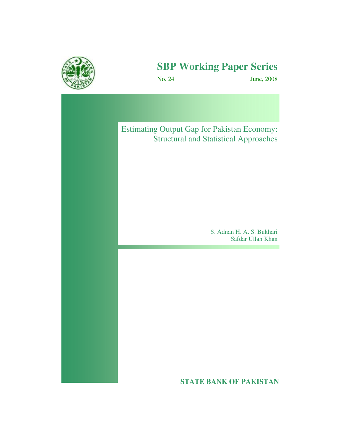

## **SBP Working Paper Series**

No. 24 June, 2008

Estimating Output Gap for Pakistan Economy: Structural and Statistical Approaches

> S. Adnan H. A. S. Bukhari Safdar Ullah Khan

**STATE BANK OF PAKISTAN**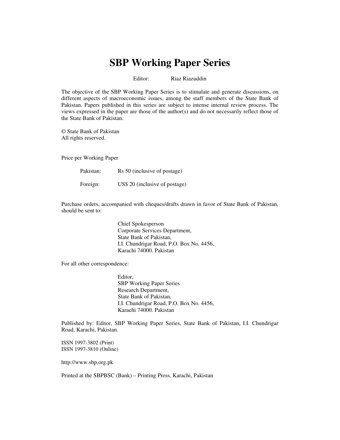## **SBP Working Paper Series**

Editor: Riaz Riazuddin

The objective of the SBP Working Paper Series is to stimulate and generate discussions, on different aspects of macroeconomic issues, among the staff members of the State Bank of Pakistan. Papers published in this series are subject to intense internal review process. The views expressed in the paper are those of the author(s) and do not necessarily reflect those of the State Bank of Pakistan.

© State Bank of Pakistan All rights reserved.

Price per Working Paper

| Pakistan: | Rs 50 (inclusive of postage)   |
|-----------|--------------------------------|
| Foreign:  | US\$ 20 (inclusive of postage) |

Purchase orders, accompanied with cheques/drafts drawn in favor of State Bank of Pakistan, should be sent to:

> Chief Spokesperson Corporate Services Department, State Bank of Pakistan, I.I. Chundrigar Road, P.O. Box No. 4456, Karachi 74000. Pakistan

For all other correspondence:

Editor, SBP Working Paper Series Research Department, State Bank of Pakistan, I.I. Chundrigar Road, P.O. Box No. 4456, Karachi 74000. Pakistan

Published by: Editor, SBP Working Paper Series, State Bank of Pakistan, I.I. Chundrigar Road, Karachi, Pakistan.

ISSN 1997-3802 (Print) ISSN 1997-3810 (Online)

http://www.sbp.org.pk

Printed at the SBPBSC (Bank) – Printing Press, Karachi, Pakistan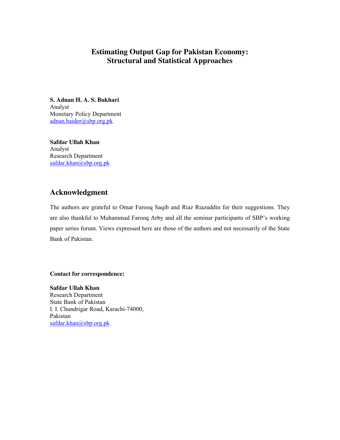## **Estimating Output Gap for Pakistan Economy: Structural and Statistical Approaches**

**S. Adnan H. A. S. Bukhari** Analyst Monetary Policy Department adnan.haider@sbp.org.pk

**Safdar Ullah Khan** Analyst Research Department safdar.khan@sbp.org.pk

### **Acknowledgment**

The authors are grateful to Omar Farooq Saqib and Riaz Riazuddin for their suggestions. They are also thankful to Muhammad Farooq Arby and all the seminar participants of SBP's working paper series forum. Views expressed here are those of the authors and not necessarily of the State Bank of Pakistan.

**Contact for correspondence:**

**Safdar Ullah Khan** Research Department State Bank of Pakistan I. I. Chundrigar Road, Karachi-74000, Pakistan safdar.khan@sbp.org.pk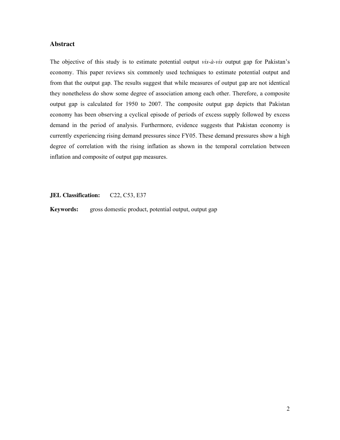#### **Abstract**

The objective of this study is to estimate potential output *vis-à-vis* output gap for Pakistan's economy. This paper reviews six commonly used techniques to estimate potential output and from that the output gap. The results suggest that while measures of output gap are not identical they nonetheless do show some degree of association among each other. Therefore, a composite output gap is calculated for 1950 to 2007. The composite output gap depicts that Pakistan economy has been observing a cyclical episode of periods of excess supply followed by excess demand in the period of analysis. Furthermore, evidence suggests that Pakistan economy is currently experiencing rising demand pressures since FY05. These demand pressures show a high degree of correlation with the rising inflation as shown in the temporal correlation between inflation and composite of output gap measures.

**JEL Classification:** C22, C53, E37

**Keywords:** gross domestic product, potential output, output gap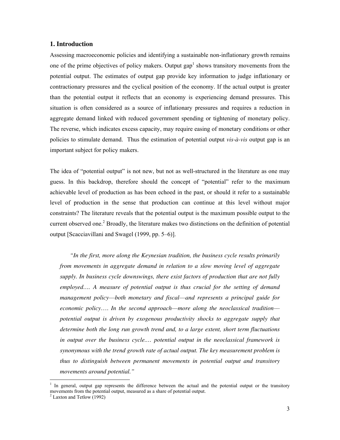#### **1. Introduction**

Assessing macroeconomic policies and identifying a sustainable non-inflationary growth remains one of the prime objectives of policy makers. Output  $gap<sup>1</sup>$  shows transitory movements from the potential output. The estimates of output gap provide key information to judge inflationary or contractionary pressures and the cyclical position of the economy. If the actual output is greater than the potential output it reflects that an economy is experiencing demand pressures. This situation is often considered as a source of inflationary pressures and requires a reduction in aggregate demand linked with reduced government spending or tightening of monetary policy. The reverse, which indicates excess capacity, may require easing of monetary conditions or other policies to stimulate demand. Thus the estimation of potential output *vis-à-vis* output gap is an important subject for policy makers.

The idea of "potential output" is not new, but not as well-structured in the literature as one may guess. In this backdrop, therefore should the concept of "potential" refer to the maximum achievable level of production as has been echoed in the past, or should it refer to a sustainable level of production in the sense that production can continue at this level without major constraints? The literature reveals that the potential output is the maximum possible output to the current observed one.<sup>2</sup> Broadly, the literature makes two distinctions on the definition of potential output [Scacciavillani and Swagel (1999, pp. 5–6)].

*"In the first, more along the Keynesian tradition, the business cycle results primarily from movements in aggregate demand in relation to a slow moving level of aggregate supply. In business cycle downswings, there exist factors of production that are not fully employed…. A measure of potential output is thus crucial for the setting of demand management policy*––*both monetary and fiscal*––*and represents a principal guide for economic policy*…. *In the second approach*––*more along the neoclassical tradition*–– *potential output is driven by exogenous productivity shocks to aggregate supply that determine both the long run growth trend and, to a large extent, short term fluctuations in output over the business cycle.… potential output in the neoclassical framework is synonymous with the trend growth rate of actual output. The key measurement problem is thus to distinguish between permanent movements in potential output and transitory movements around potential."* 

-

<sup>1</sup> In general, output gap represents the difference between the actual and the potential output or the transitory movements from the potential output, measured as a share of potential output.

 $2$  Laxton and Tetlow  $(1992)$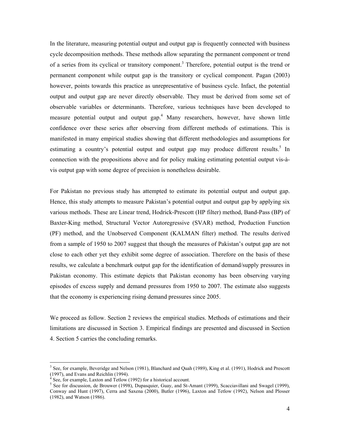In the literature, measuring potential output and output gap is frequently connected with business cycle decomposition methods. These methods allow separating the permanent component or trend of a series from its cyclical or transitory component.<sup>3</sup> Therefore, potential output is the trend or permanent component while output gap is the transitory or cyclical component. Pagan (2003) however, points towards this practice as unrepresentative of business cycle. Infact, the potential output and output gap are never directly observable. They must be derived from some set of observable variables or determinants. Therefore, various techniques have been developed to measure potential output and output gap.<sup>4</sup> Many researchers, however, have shown little confidence over these series after observing from different methods of estimations. This is manifested in many empirical studies showing that different methodologies and assumptions for estimating a country's potential output and output gap may produce different results.<sup>5</sup> In connection with the propositions above and for policy making estimating potential output vis-àvis output gap with some degree of precision is nonetheless desirable.

For Pakistan no previous study has attempted to estimate its potential output and output gap. Hence, this study attempts to measure Pakistan's potential output and output gap by applying six various methods. These are Linear trend, Hodrick-Prescott (HP filter) method, Band-Pass (BP) of Baxter-King method, Structural Vector Autoregressive (SVAR) method, Production Function (PF) method, and the Unobserved Component (KALMAN filter) method. The results derived from a sample of 1950 to 2007 suggest that though the measures of Pakistan's output gap are not close to each other yet they exhibit some degree of association. Therefore on the basis of these results, we calculate a benchmark output gap for the identification of demand/supply pressures in Pakistan economy. This estimate depicts that Pakistan economy has been observing varying episodes of excess supply and demand pressures from 1950 to 2007. The estimate also suggests that the economy is experiencing rising demand pressures since 2005.

We proceed as follow. Section 2 reviews the empirical studies. Methods of estimations and their limitations are discussed in Section 3. Empirical findings are presented and discussed in Section 4. Section 5 carries the concluding remarks.

<sup>&</sup>lt;sup>3</sup> See, for example, Beveridge and Nelson (1981), Blanchard and Quah (1989), King et al. (1991), Hodrick and Prescott (1997), and Evans and Reichlin (1994).

<sup>4</sup> See, for example, Laxton and Tetlow (1992) for a historical account.

<sup>&</sup>lt;sup>5</sup> See for discussion, de Brouwer (1998), Dupasquier, Guay, and St-Amant (1999), Scacciavillani and Swagel (1999), Conway and Hunt (1997), Cerra and Saxena (2000), Butler (1996), Laxton and Tetlow (1992), Nelson and Plosser (1982), and Watson (1986).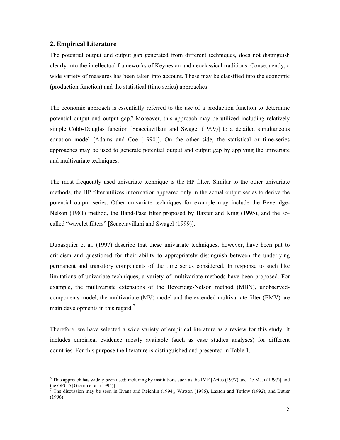#### **2. Empirical Literature**

The potential output and output gap generated from different techniques, does not distinguish clearly into the intellectual frameworks of Keynesian and neoclassical traditions. Consequently, a wide variety of measures has been taken into account. These may be classified into the economic (production function) and the statistical (time series) approaches.

The economic approach is essentially referred to the use of a production function to determine potential output and output gap.<sup>6</sup> Moreover, this approach may be utilized including relatively simple Cobb-Douglas function [Scacciavillani and Swagel (1999)] to a detailed simultaneous equation model [Adams and Coe (1990)]. On the other side, the statistical or time-series approaches may be used to generate potential output and output gap by applying the univariate and multivariate techniques.

The most frequently used univariate technique is the HP filter. Similar to the other univariate methods, the HP filter utilizes information appeared only in the actual output series to derive the potential output series. Other univariate techniques for example may include the Beveridge-Nelson (1981) method, the Band-Pass filter proposed by Baxter and King (1995), and the socalled "wavelet filters" [Scacciavillani and Swagel (1999)].

Dupasquier et al. (1997) describe that these univariate techniques, however, have been put to criticism and questioned for their ability to appropriately distinguish between the underlying permanent and transitory components of the time series considered. In response to such like limitations of univariate techniques, a variety of multivariate methods have been proposed. For example, the multivariate extensions of the Beveridge-Nelson method (MBN), unobservedcomponents model, the multivariate (MV) model and the extended multivariate filter (EMV) are main developments in this regard. $<sup>7</sup>$ </sup>

Therefore, we have selected a wide variety of empirical literature as a review for this study. It includes empirical evidence mostly available (such as case studies analyses) for different countries. For this purpose the literature is distinguished and presented in Table 1.

<sup>&</sup>lt;sup>6</sup> This approach has widely been used; including by institutions such as the IMF [Artus (1977) and De Masi (1997)] and <sup>6</sup> the OECD [Giorno et al. (1995)].

<sup>7</sup> The discussion may be seen in Evans and Reichlin (1994), Watson (1986), Laxton and Tetlow (1992), and Butler (1996).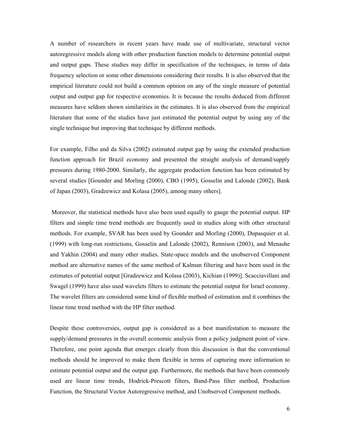A number of researchers in recent years have made use of multivariate, structural vector autoregressive models along with other production function models to determine potential output and output gaps. These studies may differ in specification of the techniques, in terms of data frequency selection or some other dimensions considering their results. It is also observed that the empirical literature could not build a common opinion on any of the single measure of potential output and output gap for respective economies. It is because the results deduced from different measures have seldom shown similarities in the estimates. It is also observed from the empirical literature that some of the studies have just estimated the potential output by using any of the single technique but improving that technique by different methods.

For example, Filho and da Silva (2002) estimated output gap by using the extended production function approach for Brazil economy and presented the straight analysis of demand/supply pressures during 1980-2000. Similarly, the aggregate production function has been estimated by several studies [Gounder and Morling (2000), CBO (1995), Gosselin and Lalonde (2002), Bank of Japan (2003), Gradzewicz and Kolasa (2005), among many others].

 Moreover, the statistical methods have also been used equally to gauge the potential output. HP filters and simple time trend methods are frequently used in studies along with other structural methods. For example, SVAR has been used by Gounder and Morling (2000), Dupasquier et al. (1999) with long-run restrictions, Gosselin and Lalonde (2002), Rennison (2003), and Menashe and Yakhin (2004) and many other studies. State-space models and the unobserved Component method are alternative names of the same method of Kalman filtering and have been used in the estimates of potential output [Gradzewicz and Kolasa (2003), Kichian (1999)]. Scacciavillani and Swagel (1999) have also used wavelets filters to estimate the potential output for Israel economy. The wavelet filters are considered some kind of flexible method of estimation and it combines the linear time trend method with the HP filter method.

Despite these controversies, output gap is considered as a best manifestation to measure the supply/demand pressures in the overall economic analysis from a policy judgment point of view. Therefore, one point agenda that emerges clearly from this discussion is that the conventional methods should be improved to make them flexible in terms of capturing more information to estimate potential output and the output gap. Furthermore, the methods that have been commonly used are linear time trends, Hodrick-Prescott filters, Band-Pass filter method, Production Function, the Structural Vector Autoregressive method, and Unobserved Component methods.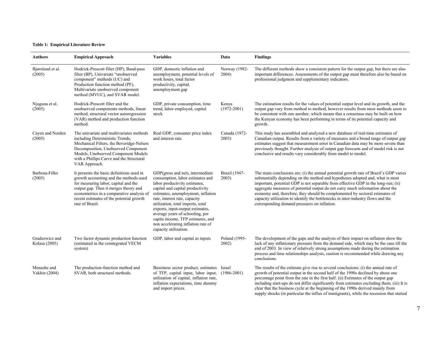#### **Table 1: Empirical Literature Review**

| <b>Authors</b>                  | <b>Empirical Approach</b>                                                                                                                                                                                                                                                        | <b>Variables</b>                                                                                                                                                                                                                                                                                                                                                                                                                 | Data                     | <b>Findings</b>                                                                                                                                                                                                                                                                                                                                                                                                                                                                                                                                                     |
|---------------------------------|----------------------------------------------------------------------------------------------------------------------------------------------------------------------------------------------------------------------------------------------------------------------------------|----------------------------------------------------------------------------------------------------------------------------------------------------------------------------------------------------------------------------------------------------------------------------------------------------------------------------------------------------------------------------------------------------------------------------------|--------------------------|---------------------------------------------------------------------------------------------------------------------------------------------------------------------------------------------------------------------------------------------------------------------------------------------------------------------------------------------------------------------------------------------------------------------------------------------------------------------------------------------------------------------------------------------------------------------|
| Bjørnland et al.<br>(2005)      | Hodrick-Prescott filter (HP), Band-pass<br>filter (BP), Univariate "unobserved<br>component" methods (UC) and<br>Production function method (PF),<br>Multivariate unobserved component<br>method (MVUC), and SVAR model.                                                         | GDP, domestic inflation and<br>unemployment, potential levels of<br>work hours, total factor<br>productivity, capital,<br>unemployment gap                                                                                                                                                                                                                                                                                       | Norway (1982-<br>2004)   | The different methods show a consistent pattern for the output gap, but there are also<br>important differences. Assessments of the output gap must therefore also be based on<br>professional judgment and supplementary indicators.                                                                                                                                                                                                                                                                                                                               |
| Njuguna et al.<br>(2005)        | Hodrick-Prescott filter and the<br>unobserved components methods, linear<br>method, structural vector autoregression<br>(VAR) method and production function<br>method.                                                                                                          | GDP, private consumption, time<br>trend, labor employed, capital<br>stock                                                                                                                                                                                                                                                                                                                                                        | Kenya<br>$(1972 - 2001)$ | The estimation results for the values of potential output level and its growth, and the<br>output gap vary from method to method, however results from most methods seem to<br>be consistent with one another, which means that a consensus may be built on how<br>the Kenyan economy has been performing in terms of its potential capacity and<br>growth.                                                                                                                                                                                                         |
| Cayen and Norden<br>(2005)      | The univariate and multivariates methods<br>including Deterministic Trends,<br>Mechanical Filters, the Beveridge-Nelson<br>Decomposition, Unobserved Component<br>Models, Unobserved Component Models<br>with a Phillips Curve and the Structural<br>VAR Approach.               | Real GDP, consumer price index<br>and interest rate                                                                                                                                                                                                                                                                                                                                                                              | Canada (1972-<br>2003)   | This study has assembled and analyzed a new database of real-time estimates of<br>Canadian output. Results from a variety of measures and a broad range of output gap<br>estimates suggest that measurement error in Canadian data may be more severe than<br>previously thought. Further analysis of output gap forecasts and of model risk is not<br>conclusive and results vary considerably from model to model.                                                                                                                                                |
| Barbosa-Filho<br>(2005)         | It presents the basic definitions used in<br>growth accounting and the methods used<br>for measuring labor, capital and the<br>output gap. Then it merges theory and<br>econometrics in a comparative analysis of<br>recent estimates of the potential growth<br>rate of Brazil. | GDP(gross and net), intermediate<br>consumption, labor estimates and<br>labor productivity estimates,<br>capital and capital productivity<br>estimates, unemployment, inflation<br>rate, interest rate, capacity<br>utilization, total imports, total<br>exports, input-output estimates,<br>average years of schooling, per<br>capita income, TFP estimates, and<br>non accelerating inflation rate of<br>capacity utilization. | Brazil (1947-<br>2003)   | The main conclusions are: (i) the annual potential growth rate of Brazil's GDP varies<br>substantially depending on the method and hypotheses adopted and, what is most<br>important, potential GDP is not separable from effective GDP in the long-run; (ii)<br>aggregate measures of potential output do not carry much information about the<br>economy and, therefore, they should be complemented by sectoral estimates of<br>capacity utilization to identify the bottlenecks in inter-industry flows and the<br>corresponding demand pressures on inflation. |
| Gradzewicz and<br>Kolasa (2005) | Two factor dynamic production function<br>(estimated in the cointegrated VECM<br>system)                                                                                                                                                                                         | GDP, labor and capital as inputs                                                                                                                                                                                                                                                                                                                                                                                                 | Poland (1995-<br>2002)   | The development of the gaps and the analysis of their impact on inflation show the<br>lack of any inflationary pressure from the demand side, which may be the case till the<br>end of 2003. In view of relatively strong assumptions made during the estimation<br>process and time relationships analysis, caution is recommended while drawing any<br>conclusions.                                                                                                                                                                                               |
| Menashe and<br>Yakhin (2004)    | The production-function method and<br>SVAR, both structural methods.                                                                                                                                                                                                             | Bussiness sector product, estimates Israel<br>of TFP, capital input, labor input, (1986-2001)<br>utilization of capital, inflation rate,<br>inflation expectations, time dummy<br>and import prices.                                                                                                                                                                                                                             |                          | The results of the estimate give rise to several conclusions: (i) the annual rate of<br>growth of potential output in the second half of the 1990s declined by about one<br>percentage point from the rate in the first half. (ii) Estimates of the output gap<br>including start-ups do not differ significantly from estimates excluding them. (iii) It is<br>clear that the business cycle at the beginning of the 1990s derived mainly from<br>supply shocks (in particular the influx of immigrants), while the recession that started                         |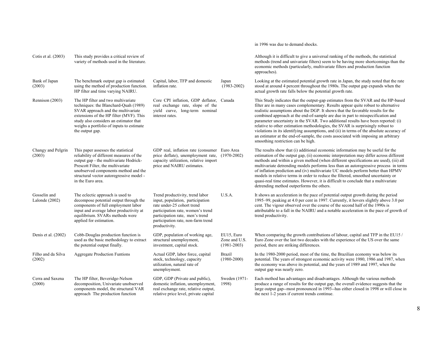| Cotis et al. (2003)            | This study provides a critical review of<br>variety of methods used in the literature.                                                                                                                                                                                  |                                                                                                                                                                                                                                  |                                                | Although it is difficult to give a universal ranking of the methods, the statistical<br>methods (trend and univariate filters) seem to be having more shortcomings than the<br>economic methods (particularly, multivariate filters and production function<br>approaches).                                                                                                                                                                                                                                                                                                                                                                                                                                                                  |
|--------------------------------|-------------------------------------------------------------------------------------------------------------------------------------------------------------------------------------------------------------------------------------------------------------------------|----------------------------------------------------------------------------------------------------------------------------------------------------------------------------------------------------------------------------------|------------------------------------------------|----------------------------------------------------------------------------------------------------------------------------------------------------------------------------------------------------------------------------------------------------------------------------------------------------------------------------------------------------------------------------------------------------------------------------------------------------------------------------------------------------------------------------------------------------------------------------------------------------------------------------------------------------------------------------------------------------------------------------------------------|
| Bank of Japan<br>(2003)        | The benchmark output gap is estimated<br>using the method of production function.<br>HP filter and time varying NAIRU.                                                                                                                                                  | Capital, labor, TFP and domestic<br>inflation rate.                                                                                                                                                                              | Japan<br>$(1983 - 2002)$                       | Looking at the estimated potential growth rate in Japan, the study noted that the rate<br>stood at around 4 percent throughout the 1980s. The output gap expands when the<br>actual growth rate falls below the potential growth rate.                                                                                                                                                                                                                                                                                                                                                                                                                                                                                                       |
| Rennison (2003)                | The HP filter and two multivariate<br>techniques: the Blanchard-Quah (1989)<br>SVAR approach and the multivariate<br>extensions of the HP filter (MVF). This<br>study also considers an estimator that<br>weighs a portfolio of inputs to estimate<br>the output gap.   | Core CPI inflation, GDP deflator, Canada<br>real exchange rate, slope of the<br>vield curve, long-term nominal<br>interest rates.                                                                                                |                                                | This Study indicates that the output-gap estimates from the SVAR and the HP-based<br>filter are in many cases complementary. Results appear quite robust to alternative<br>realistic assumptions about the DGP. It shows that the favorable results for the<br>combined approach at the end-of-sample are due in part to misspecification and<br>parameter uncertainty in the SVAR. Two additional results have been reported: (i)<br>relative to other estimation methodologies, the SVAR is surprisingly robust to<br>violations in its identifying assumptions, and (ii) in terms of the absolute accuracy of<br>an estimator at the end-of-sample, the costs associated with imposing an arbitrary<br>smoothing restriction can be high. |
| Changy and Pelgrin<br>(2003)   | This paper assesses the statistical<br>reliability of different measures of the<br>output gap - the multivariate Hodrick-<br>Prescott Filter, the multivariate<br>unobserved components method and the<br>structural vector autoregressive model -<br>in the Euro area. | GDP real, inflation rate (consumer Euro Area<br>price deflate), unemployment rate, (1970-2002)<br>capacity utilization, relative import<br>price and NAIRU estimates.                                                            |                                                | The results show that (i) additional economic information may be useful for the<br>estimation of the output gap, (ii) economic interpretation may differ across different<br>methods and within a given method (when different specifications are used), (iii) all<br>multivariate detrending models performs less than an autoregressive process in terms<br>of inflation prediction and (iv) multivariate UC models perform better than HPMV<br>models in relative terms in order to reduce the filtered, smoothed uncertainty or<br>quasi-real time estimates. However, it is difficult to conclude that a multivariate<br>detrending method outperforms the others.                                                                      |
| Gosselin and<br>Lalonde (2002) | The eclectic approach is used to<br>decompose potential output through the<br>components of full employment labor<br>input and average labor productivity at<br>equilibrium. SVARs methods were<br>applied for estimation.                                              | Trend productivity, trend labor<br>input, population, participation<br>rate under-25 cohort trend<br>participation rate, women's trend<br>participation rate, men's trend<br>participation rate, non-farm trend<br>productivity. | U.S.A.                                         | It shows an acceleration in the pace of potential output growth during the period<br>1995–99, peaking at 4.0 per cent in 1997. Currently, it hovers slightly above 3.0 per<br>cent. The vigour observed over the course of the second half of the 1990s is<br>attributable to a fall in the NAIRU and a notable acceleration in the pace of growth of<br>trend productivity.                                                                                                                                                                                                                                                                                                                                                                 |
| Denis et al. (2002)            | Cobb-Douglas production function is<br>used as the basic methodology to extract<br>the potential output finally.                                                                                                                                                        | GDP, population of working age,<br>structural unemployment,<br>investment, capital stock.                                                                                                                                        | EU15, Euro<br>Zone and U.S.<br>$(1981 - 2003)$ | When comparing the growth contributions of labour, capital and TFP in the EU15 /<br>Euro Zone over the last two decades with the experience of the US over the same<br>period, there are striking differences.                                                                                                                                                                                                                                                                                                                                                                                                                                                                                                                               |
| Filho and da Silva<br>(2002)   | <b>Aggregate Production Funtions</b>                                                                                                                                                                                                                                    | Actual GDP, labor force, capital<br>stock, technology, capacity<br>utilization, natural rate of<br>unemployment.                                                                                                                 | Brazil<br>$(1980 - 2000)$                      | In the 1980-2000 period, most of the time, the Brazilian economy was below its<br>potential. The years of strongest economic activity were 1980, 1986 and 1987, when<br>the economy was above its potential, and the years of 1989 and 1997, when the<br>output gap was nearly zero.                                                                                                                                                                                                                                                                                                                                                                                                                                                         |
| Cerra and Saxena<br>(2000)     | The HP filter, Beveridge-Nelson<br>decomposition, Univariate unobserved<br>components model, the structural VAR<br>approach The production function                                                                                                                     | GDP, GDP (Private and public),<br>domestic inflation, unemployment,<br>real exchange rate, relative output,<br>relative price level, private capital                                                                             | Sweden (1971-<br>1998)                         | Each method has advantages and disadvantages. Although the various methods<br>produce a range of results for the output gap, the overall evidence suggests that the<br>large output gap--most pronounced in 1993--has either closed in 1998 or will close in<br>the next 1-2 years if current trends continue.                                                                                                                                                                                                                                                                                                                                                                                                                               |

in 1996 was due to demand shocks.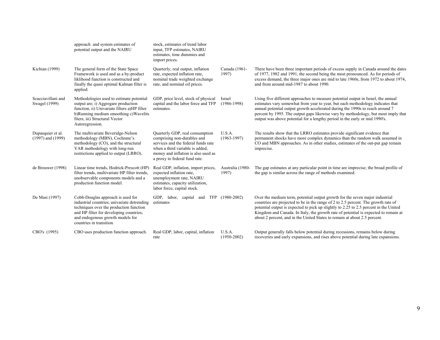|                                            | approach and system estimates of<br>potential output and the NAIRU                                                                                                                                                                     | stock, estimates of trend labor<br>input, TFP estimates, NAIRU<br>estimates, time dummies and<br>import prices.                                                                                                  |                           |                                                                                                                                                                                                                                                                                                                                                                                                                                 |
|--------------------------------------------|----------------------------------------------------------------------------------------------------------------------------------------------------------------------------------------------------------------------------------------|------------------------------------------------------------------------------------------------------------------------------------------------------------------------------------------------------------------|---------------------------|---------------------------------------------------------------------------------------------------------------------------------------------------------------------------------------------------------------------------------------------------------------------------------------------------------------------------------------------------------------------------------------------------------------------------------|
| Kichian (1999)                             | The general form of the State Space<br>Framework is used and as a by-product<br>liklihood function is constructed and<br>finally the quasi optimal Kalman filter is<br>applied.                                                        | Quarterly; real output, inflation<br>rate, expected inflation rate,<br>nominal trade weighted exchange<br>rate, and nominal oil prices.                                                                          | Canada (1961-<br>1997)    | There have been three important periods of excess supply in Canada around the dates<br>of 1977, 1982 and 1991, the second being the most pronounced. As for periods of<br>excess demand, the three major ones are mid to late 1960s, from 1972 to about 1974,<br>and from around mid-1987 to about 1990.                                                                                                                        |
| Scacciavillani and<br>Swagel (1999)        | Methodologies used to estimate potential<br>output are; i) Aggregare production<br>function, ii) Univariate filters a)HP filter<br>b)Running medium smoothing c)Wavelits<br>fiters, iii) Structural Vector<br>Autoregression.          | GDP, price level, stock of physical<br>capital and the labor force and TFP<br>estimates.                                                                                                                         | Israel<br>$(1986 - 1998)$ | Using five different approaches to measure potential output in Israel, the annual<br>estimates vary somewhat from year to year, but each methodology indicates that<br>annual potential output growth accelerated during the 1990s to reach around 7<br>percent by 1995. The output gaps likewise vary by methodology, but most imply that<br>output was above potential for a lengthy period in the early or mid 1990's.       |
| Dupasquier et al.<br>$(1997)$ and $(1999)$ | The multivariate Beveridge-Nelson<br>methodology (MBN), Cochrane's<br>methodology (CO), and the structural<br>VAR methodology with long-run<br>restrictions applied to output (LRRO).                                                  | Quarterly GDP, real consumption<br>comprising non-durables and<br>services and the federal funds rate<br>when a third variable is added,<br>money and inflation is also used as<br>a proxy to federal fund rate. | U.S.A.<br>$(1963 - 1997)$ | The results show that the LRRO estimates provide significant evidence that<br>permanent shocks have more complex dynamics than the random walk assumed in<br>CO and MBN approaches. As in other studies, estimates of the out-put gap remain<br>imprecise.                                                                                                                                                                      |
| de Brouwer (1998)                          | Linear time trends, Hodrick-Prescott (HP)<br>filter trends, multivariate HP filter trends,<br>unobservable components models and a<br>production function model.                                                                       | Real GDP, inflation, import prices,<br>expected inflation rate,<br>unemployment rate, NAIRU<br>estimates, capacity utilization,<br>labor force, capital stock.                                                   | Australia (1980-<br>1997) | The gap estimates at any particular point in time are imprecise; the broad profile of<br>the gap is similar across the range of methods examined.                                                                                                                                                                                                                                                                               |
| De Masi (1997)                             | Cobb-Douglas approach is used for<br>industrial countries; univariate detrending<br>techniques over the production function<br>and HP filter for developing countries;<br>and endogenous growth models for<br>countries in transition. | GDP, labor, capital and TFP (1980-2002)<br>estimates                                                                                                                                                             |                           | Over the medium term, potential output growth for the seven major industrial<br>countries are projected to be in the range of 2 to 2.5 percent. The growth rate of<br>potential output is expected to pick up slightly to 2.25 to 2.5 percent in the United<br>Kingdom and Canada. In Italy, the growth rate of potential is expected to remain at<br>about 2 percent, and in the United States to remain at about 2.5 percent. |
| CBO's (1995)                               | CBO uses production function approach.                                                                                                                                                                                                 | Real GDP, labor, capital, inflation<br>rate                                                                                                                                                                      | U.S.A.<br>$(1950 - 2002)$ | Output generally falls below potential during recessions, remains below during<br>recoveries and early expansions, and rises above potential during late expansions.                                                                                                                                                                                                                                                            |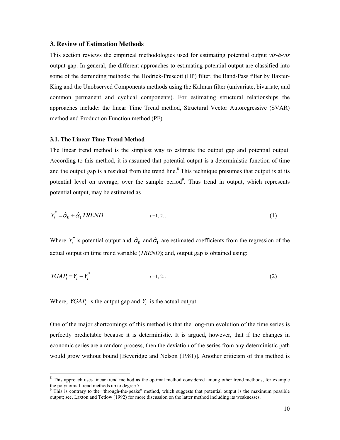#### **3. Review of Estimation Methods**

This section reviews the empirical methodologies used for estimating potential output *vis-à-vis*  output gap. In general, the different approaches to estimating potential output are classified into some of the detrending methods: the Hodrick-Prescott (HP) filter, the Band-Pass filter by Baxter-King and the Unobserved Components methods using the Kalman filter (univariate, bivariate, and common permanent and cyclical components). For estimating structural relationships the approaches include: the linear Time Trend method, Structural Vector Autoregressive (SVAR) method and Production Function method (PF).

#### **3.1. The Linear Time Trend Method**

The linear trend method is the simplest way to estimate the output gap and potential output. According to this method, it is assumed that potential output is a deterministic function of time and the output gap is a residual from the trend line.<sup>8</sup> This technique presumes that output is at its potential level on average, over the sample period<sup>9</sup>. Thus trend in output, which represents potential output, may be estimated as

$$
Y_t^* = \hat{\alpha}_0 + \hat{\alpha}_1 \text{ }TREND \tag{1}
$$

Where  $Y_t^*$  is potential output and  $\hat{\alpha}_0$  and  $\hat{\alpha}_1$  are estimated coefficients from the regression of the actual output on time trend variable (*TREND*); and, output gap is obtained using:

$$
YGAP_t = Y_t - Y_t^* \tag{2}
$$

Where,  $YGAP_t$  is the output gap and  $Y_t$  is the actual output.

 $\overline{a}$ 

One of the major shortcomings of this method is that the long-run evolution of the time series is perfectly predictable because it is deterministic. It is argued, however, that if the changes in economic series are a random process, then the deviation of the series from any deterministic path would grow without bound [Beveridge and Nelson (1981)]. Another criticism of this method is

<sup>&</sup>lt;sup>8</sup> This approach uses linear trend method as the optimal method considered among other trend methods, for example <sup>9</sup> This is contrary to the "through-the-peaks" method, which suggests that potential output is the maximum possible <sup>9</sup> This is contrary to the "through-the-peaks" method, which suggests that potential output is the maxim

output; see, Laxton and Tetlow (1992) for more discussion on the latter method including its weaknesses.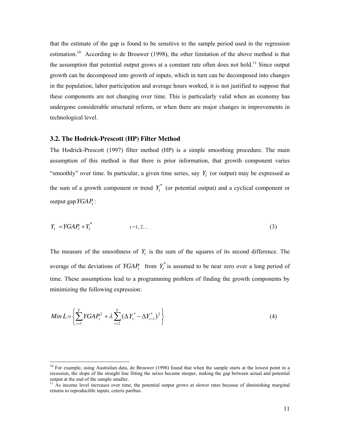that the estimate of the gap is found to be sensitive to the sample period used in the regression estimation.<sup>10</sup> According to de Brouwer (1998), the other limitation of the above method is that the assumption that potential output grows at a constant rate often does not hold.<sup>11</sup> Since output growth can be decomposed into growth of inputs, which in turn can be decomposed into changes in the population, labor participation and average hours worked, it is not justified to suppose that these components are not changing over time. This is particularly valid when an economy has undergone considerable structural reform, or when there are major changes in improvements in technological level.

#### **3.2. The Hodrick-Prescott (HP) Filter Method**

-

The Hodrick-Prescott (1997) filter method (HP) is a simple smoothing procedure. The main assumption of this method is that there is prior information, that growth component varies "smoothly" over time. In particular, a given time series, say  $Y_t$  (or output) may be expressed as the sum of a growth component or trend  $Y_t^*$  (or potential output) and a cyclical component or output gap*YGAP<sup>t</sup>* :

$$
Y_t = YGAP_t + Y_t^* \tag{3}
$$

The measure of the smoothness of  $Y_t$  is the sum of the squares of its second difference. The average of the deviations of  $YGAP_t$  from  $Y_t^*$  is assumed to be near zero over a long period of time. These assumptions lead to a programming problem of finding the growth components by minimizing the following expression:

$$
Min L = \left\{ \sum_{t=1}^{T} YGAP_t^2 + \lambda \sum_{t=2}^{T} (\Delta Y_t^* - \Delta Y_{t-1}^*)^2 \right\}
$$
(4)

 $10$  For example, using Australian data, de Brouwer (1998) found that when the sample starts at the lowest point in a recession, the slope of the straight line fitting the series became steeper, making the gap between actual and potential output at the end of the sample smaller.

 $11$  As income level increases over time, the potential output grows at slower rates because of diminishing marginal returns to reproducible inputs, ceteris paribus.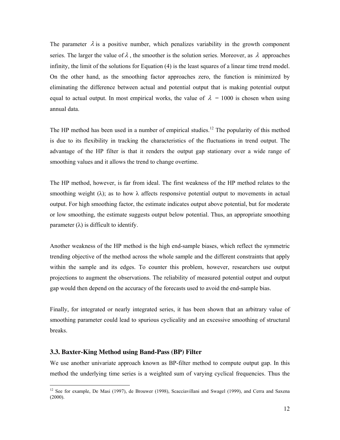The parameter  $\lambda$  is a positive number, which penalizes variability in the growth component series. The larger the value of  $\lambda$ , the smoother is the solution series. Moreover, as  $\lambda$  approaches infinity, the limit of the solutions for Equation (4) is the least squares of a linear time trend model. On the other hand, as the smoothing factor approaches zero, the function is minimized by eliminating the difference between actual and potential output that is making potential output equal to actual output. In most empirical works, the value of  $\lambda = 1000$  is chosen when using annual data.

The HP method has been used in a number of empirical studies.<sup>12</sup> The popularity of this method is due to its flexibility in tracking the characteristics of the fluctuations in trend output. The advantage of the HP filter is that it renders the output gap stationary over a wide range of smoothing values and it allows the trend to change overtime.

The HP method, however, is far from ideal. The first weakness of the HP method relates to the smoothing weight ( $\lambda$ ); as to how  $\lambda$  affects responsive potential output to movements in actual output. For high smoothing factor, the estimate indicates output above potential, but for moderate or low smoothing, the estimate suggests output below potential. Thus, an appropriate smoothing parameter  $(\lambda)$  is difficult to identify.

Another weakness of the HP method is the high end-sample biases, which reflect the symmetric trending objective of the method across the whole sample and the different constraints that apply within the sample and its edges. To counter this problem, however, researchers use output projections to augment the observations. The reliability of measured potential output and output gap would then depend on the accuracy of the forecasts used to avoid the end-sample bias.

Finally, for integrated or nearly integrated series, it has been shown that an arbitrary value of smoothing parameter could lead to spurious cyclicality and an excessive smoothing of structural breaks.

#### **3.3. Baxter-King Method using Band-Pass (BP) Filter**

 $\overline{a}$ 

We use another univariate approach known as BP-filter method to compute output gap. In this method the underlying time series is a weighted sum of varying cyclical frequencies. Thus the

<sup>&</sup>lt;sup>12</sup> See for example, De Masi (1997), de Brouwer (1998), Scacciavillani and Swagel (1999), and Cerra and Saxena (2000).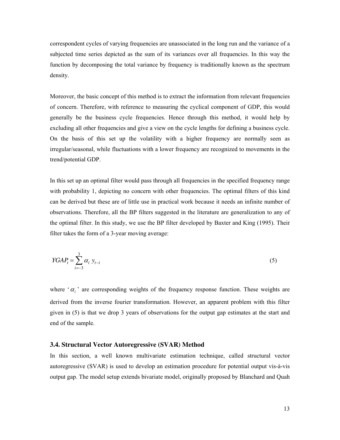correspondent cycles of varying frequencies are unassociated in the long run and the variance of a subjected time series depicted as the sum of its variances over all frequencies. In this way the function by decomposing the total variance by frequency is traditionally known as the spectrum density.

Moreover, the basic concept of this method is to extract the information from relevant frequencies of concern. Therefore, with reference to measuring the cyclical component of GDP, this would generally be the business cycle frequencies. Hence through this method, it would help by excluding all other frequencies and give a view on the cycle lengths for defining a business cycle. On the basis of this set up the volatility with a higher frequency are normally seen as irregular/seasonal, while fluctuations with a lower frequency are recognized to movements in the trend/potential GDP.

In this set up an optimal filter would pass through all frequencies in the specified frequency range with probability 1, depicting no concern with other frequencies. The optimal filters of this kind can be derived but these are of little use in practical work because it needs an infinite number of observations. Therefore, all the BP filters suggested in the literature are generalization to any of the optimal filter. In this study, we use the BP filter developed by Baxter and King (1995). Their filter takes the form of a 3-year moving average:

$$
YGAP_{t} = \sum_{i=-3}^{3} \alpha_{i} y_{t-i}
$$
 (5)

where  $\alpha$ <sup>'</sup> are corresponding weights of the frequency response function. These weights are derived from the inverse fourier transformation. However, an apparent problem with this filter given in (5) is that we drop 3 years of observations for the output gap estimates at the start and end of the sample.

#### **3.4. Structural Vector Autoregressive (SVAR) Method**

In this section, a well known multivariate estimation technique, called structural vector autoregressive (SVAR) is used to develop an estimation procedure for potential output vis-à-vis output gap. The model setup extends bivariate model, originally proposed by Blanchard and Quah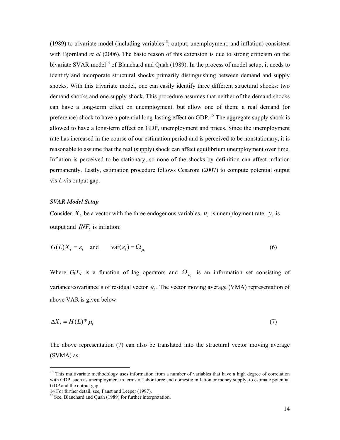(1989) to trivariate model (including variables<sup>13</sup>; output; unemployment; and inflation) consistent with Bjornland *et al* (2006). The basic reason of this extension is due to strong criticism on the bivariate SVAR model<sup>14</sup> of Blanchard and Quah (1989). In the process of model setup, it needs to identify and incorporate structural shocks primarily distinguishing between demand and supply shocks. With this trivariate model, one can easily identify three different structural shocks: two demand shocks and one supply shock. This procedure assumes that neither of the demand shocks can have a long-term effect on unemployment, but allow one of them; a real demand (or preference) shock to have a potential long-lasting effect on GDP.<sup>15</sup> The aggregate supply shock is allowed to have a long-term effect on GDP, unemployment and prices. Since the unemployment rate has increased in the course of our estimation period and is perceived to be nonstationary, it is reasonable to assume that the real (supply) shock can affect equilibrium unemployment over time. Inflation is perceived to be stationary, so none of the shocks by definition can affect inflation permanently. Lastly, estimation procedure follows Cesaroni (2007) to compute potential output vis-à-vis output gap.

#### *SVAR Model Setup*

Consider  $X_t$  be a vector with the three endogenous variables.  $u_t$  is unemployment rate,  $y_t$  is output and  $INF_t$  is inflation:

$$
G(L)X_t = \varepsilon_t \quad \text{and} \quad \text{var}(\varepsilon_t) = \Omega_{\mu_t} \tag{6}
$$

Where  $G(L)$  is a function of lag operators and  $\Omega_{\mu}$  is an information set consisting of variance/covariance's of residual vector  $\varepsilon_t$ . The vector moving average (VMA) representation of above VAR is given below:

$$
\Delta X_t = H(L)^* \mu_t \tag{7}
$$

The above representation (7) can also be translated into the structural vector moving average (SVMA) as:

 $\overline{a}$ 

<sup>&</sup>lt;sup>13</sup> This multivariate methodology uses information from a number of variables that have a high degree of correlation with GDP, such as unemployment in terms of labor force and domestic inflation or money supply, to estimate potential GDP and the output gap.

<sup>14</sup> For further detail, see, Faust and Leeper (1997).

<sup>&</sup>lt;sup>15</sup> See, Blanchard and Quah (1989) for further interpretation.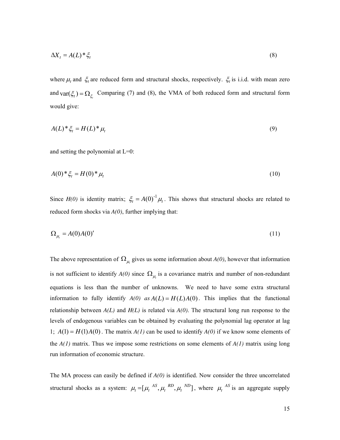$$
\Delta X_t = A(L)^* \xi_t \tag{8}
$$

where  $\mu_t$  and  $\xi_t$  are reduced form and structural shocks, respectively.  $\xi_t$  is i.i.d. with mean zero and  $var(\xi_t) = \Omega_{\xi_t}$  Comparing (7) and (8), the VMA of both reduced form and structural form would give:

$$
A(L)^{*}\xi_t = H(L)^{*}\mu_t \tag{9}
$$

and setting the polynomial at  $L=0$ :

$$
A(0)^{*} \xi_t = H(0)^{*} \mu_t \tag{10}
$$

Since *H(0)* is identity matrix;  $\xi_t = A(0)^{-1} \mu_t$ . This shows that structural shocks are related to reduced form shocks via *A(0)*, further implying that:

$$
\Omega_{\mu_i} = A(0)A(0)'
$$
\n<sup>(11)</sup>

The above representation of  $\Omega_{\mu}$  gives us some information about  $A(0)$ , however that information is not sufficient to identify  $A(0)$  since  $\Omega_{\mu_t}$  is a covariance matrix and number of non-redundant equations is less than the number of unknowns. We need to have some extra structural information to fully identify  $A(0)$  as  $A(L) = H(L)A(0)$ . This implies that the functional relationship between *A(L)* and *H(L)* is related via *A(0)*. The structural long run response to the levels of endogenous variables can be obtained by evaluating the polynomial lag operator at lag 1;  $A(1) = H(1)A(0)$ . The matrix  $A(1)$  can be used to identify  $A(0)$  if we know some elements of the *A(1)* matrix. Thus we impose some restrictions on some elements of *A(1)* matrix using long run information of economic structure.

The MA process can easily be defined if *A(0)* is identified. Now consider the three uncorrelated structural shocks as a system:  $\mu_t = [\mu_t^{AS}, \mu_t^{RD}, \mu_t^{ND}]$ , where  $\mu_t^{AS}$  is an aggregate supply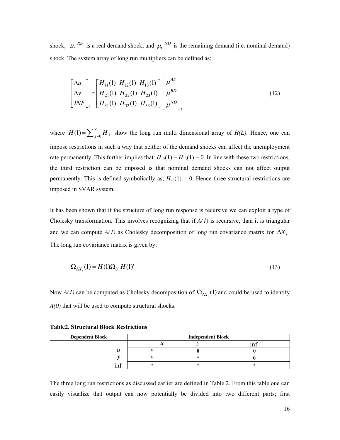shock,  $\mu_t^{RD}$  is a real demand shock, and  $\mu_t^{RD}$  is the remaining demand (i.e. nominal demand) shock. The system array of long run multipliers can be defined as;

$$
\begin{bmatrix}\n\Delta u \\
\Delta y \\
INF\n\end{bmatrix}_{t} = \begin{bmatrix}\nH_{11}(1) & H_{12}(1) & H_{13}(1) \\
H_{21}(1) & H_{22}(1) & H_{23}(1) \\
H_{31}(1) & H_{32}(1) & H_{33}(1)\n\end{bmatrix} \begin{bmatrix}\n\mu^{AS} \\
\mu^{RD} \\
\mu^{ND}\n\end{bmatrix}_{t}
$$
\n(12)

where  $H(1) = \sum_{j=0}^{\infty} H_j$  $=\sum_{j=0}^{\infty} H_j$  show the long run multi dimensional array of *H(L)*. Hence, one can impose restrictions in such a way that neither of the demand shocks can affect the unemployment rate permanently. This further implies that:  $H_{12}(1) = H_{13}(1) = 0$ . In line with these two restrictions, the third restriction can be imposed is that nominal demand shocks can not affect output permanently. This is defined symbolically as;  $H_{23}(1) = 0$ . Hence three structural restrictions are imposed in SVAR system.

It has been shown that if the structure of long run response is recursive we can exploit a type of Cholesky transformation. This involves recognizing that if *A(1)* is recursive, than it is triangular and we can compute  $A(1)$  as Cholesky decomposition of long run covariance matrix for  $\Delta X_t$ . The long run covariance matrix is given by:

$$
\Omega_{\Delta X_t}(1) = H(1)\Omega_{U_t}H(1)'
$$
\n(13)

Now  $A(1)$  can be computed as Cholesky decomposition of  $\Omega_{\Delta X}$  (1) and could be used to identify *A(0)* that will be used to compute structural shocks.

| <b>Dependent Block</b> | <b>Independent Block</b> |  |  |  |  |  |
|------------------------|--------------------------|--|--|--|--|--|
|                        |                          |  |  |  |  |  |
| v                      |                          |  |  |  |  |  |
|                        |                          |  |  |  |  |  |
| $\sim$<br>ın           |                          |  |  |  |  |  |

**Table2. Structural Block Restrictions** 

The three long run restrictions as discussed earlier are defined in Table 2. From this table one can easily visualize that output can now potentially be divided into two different parts; first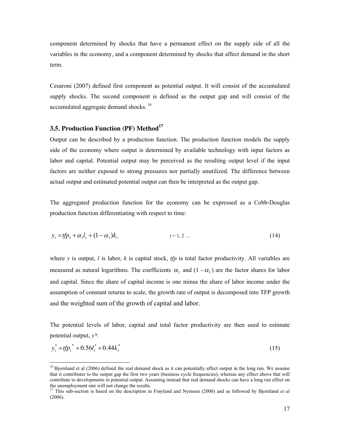component determined by shocks that have a permanent effect on the supply side of all the variables in the economy, and a component determined by shocks that affect demand in the short term.

Cesaroni (2007) defined first component as potential output. It will consist of the accumulated supply shocks. The second component is defined as the output gap and will consist of the accumulated aggregate demand shocks.<sup>16</sup>

### **3.5. Production Function (PF) Method<sup>17</sup>**

 $\overline{a}$ 

Output can be described by a production function. The production function models the supply side of the economy where output is determined by available technology with input factors as labor and capital. Potential output may be perceived as the resulting output level if the input factors are neither exposed to strong pressures nor partially unutilized. The difference between actual output and estimated potential output can then be interpreted as the output gap.

The aggregated production function for the economy can be expressed as a Cobb-Douglas production function differentiating with respect to time:

$$
y_{t} = tfp_{t} + \alpha_{1}l_{t} + (1 - \alpha_{1})k_{t}
$$
 (14)

where *y* is output, *l* is labor, *k* is capital stock, *tfp* is total factor productivity. All variables are measured as natural logarithms. The coefficients  $\alpha_1$  and  $(1 - \alpha_1)$  are the factor shares for labor and capital. Since the share of capital income is one minus the share of labor income under the assumption of constant returns to scale, the growth rate of output is decomposed into TFP growth and the weighted sum of the growth of capital and labor.

The potential levels of labor, capital and total factor productivity are then used to estimate potential output, *y\*.*

$$
y_t^* = tfp_t^* + 0.56l_t^* + 0.44k_t^* \tag{15}
$$

 $16$ Bjornland et al (2006) defined the real demand shock as it can potentially affect output in the long run. We assume that it contributes to the output gap the first two years (business cycle frequencies), whereas any effect above that will contribute to developments in potential output. Assuming instead that real demand shocks can have a long run effect on the unemployment rate will not change the results.

<sup>&</sup>lt;sup>17</sup> This sub-section is based on the description in Frøyland and Nymoen (2000) and as followed by Bjornland *et al* (2006).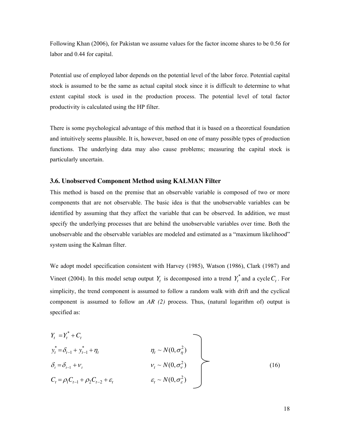Following Khan (2006), for Pakistan we assume values for the factor income shares to be 0.56 for labor and 0.44 for capital.

Potential use of employed labor depends on the potential level of the labor force. Potential capital stock is assumed to be the same as actual capital stock since it is difficult to determine to what extent capital stock is used in the production process. The potential level of total factor productivity is calculated using the HP filter.

There is some psychological advantage of this method that it is based on a theoretical foundation and intuitively seems plausible. It is, however, based on one of many possible types of production functions. The underlying data may also cause problems; measuring the capital stock is particularly uncertain.

#### **3.6. Unobserved Component Method using KALMAN Filter**

This method is based on the premise that an observable variable is composed of two or more components that are not observable. The basic idea is that the unobservable variables can be identified by assuming that they affect the variable that can be observed. In addition, we must specify the underlying processes that are behind the unobservable variables over time. Both the unobservable and the observable variables are modeled and estimated as a "maximum likelihood" system using the Kalman filter.

We adopt model specification consistent with Harvey (1985), Watson (1986), Clark (1987) and Vineet (2004). In this model setup output  $Y_t$  is decomposed into a trend  $Y_t^*$  and a cycle  $C_t$ . For simplicity, the trend component is assumed to follow a random walk with drift and the cyclical component is assumed to follow an *AR (2)* process. Thus, (natural logarithm of) output is specified as:

$$
Y_{t} = Y_{t}^{*} + C_{t}
$$
  
\n
$$
y_{t}^{*} = \delta_{t-1} + y_{t-1}^{*} + \eta_{t}
$$
  
\n
$$
\delta_{t} = \delta_{t-1} + V_{t}
$$
  
\n
$$
T_{t} \sim N(0, \sigma_{\eta}^{2})
$$
  
\n
$$
C_{t} = \rho_{1}C_{t-1} + \rho_{2}C_{t-2} + \varepsilon_{t}
$$
  
\n
$$
\varepsilon_{t} \sim N(0, \sigma_{\varepsilon}^{2})
$$
  
\n(16)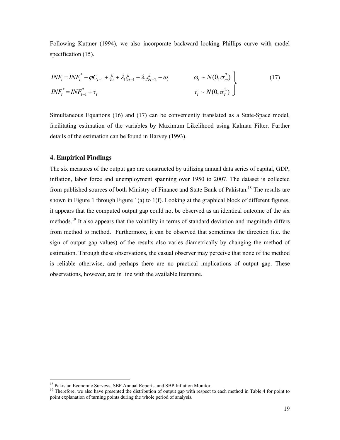Following Kuttner (1994), we also incorporate backward looking Phillips curve with model specification  $(15)$ .

$$
INF_t = INF_t^* + \varphi C_{t-1} + \xi_t + \lambda_1 \xi_{t-1} + \lambda_2 \xi_{t-2} + \omega_t \qquad \omega_t \sim N(0, \sigma_\omega^2)
$$
  
\n
$$
INF_t^* = INF_{t-1}^* + \tau_t \qquad \tau_t \sim N(0, \sigma_\tau^2)
$$
 (17)

Simultaneous Equations (16) and (17) can be conveniently translated as a State-Space model, facilitating estimation of the variables by Maximum Likelihood using Kalman Filter. Further details of the estimation can be found in Harvey (1993).

#### **4. Empirical Findings**

 $\overline{a}$ 

The six measures of the output gap are constructed by utilizing annual data series of capital, GDP, inflation, labor force and unemployment spanning over 1950 to 2007. The dataset is collected from published sources of both Ministry of Finance and State Bank of Pakistan.<sup>18</sup> The results are shown in Figure 1 through Figure 1(a) to  $1(f)$ . Looking at the graphical block of different figures, it appears that the computed output gap could not be observed as an identical outcome of the six methods.<sup>19</sup> It also appears that the volatility in terms of standard deviation and magnitude differs from method to method. Furthermore, it can be observed that sometimes the direction (i.e. the sign of output gap values) of the results also varies diametrically by changing the method of estimation. Through these observations, the casual observer may perceive that none of the method is reliable otherwise, and perhaps there are no practical implications of output gap. These observations, however, are in line with the available literature.

<sup>&</sup>lt;sup>18</sup> Pakistan Economic Surveys, SBP Annual Reports, and SBP Inflation Monitor.

<sup>&</sup>lt;sup>19</sup> Therefore, we also have presented the distribution of output gap with respect to each method in Table 4 for point to point explanation of turning points during the whole period of analysis.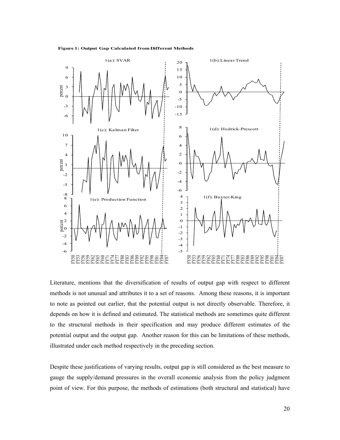



Literature, mentions that the diversification of results of output gap with respect to different methods is not unusual and attributes it to a set of reasons. Among these reasons, it is important to note as pointed out earlier, that the potential output is not directly observable. Therefore, it depends on how it is defined and estimated. The statistical methods are sometimes quite different to the structural methods in their specification and may produce different estimates of the potential output and the output gap. Another reason for this can be limitations of these methods, illustrated under each method respectively in the preceding section.

Despite these justifications of varying results, output gap is still considered as the best measure to gauge the supply/demand pressures in the overall economic analysis from the policy judgment point of view. For this purpose, the methods of estimations (both structural and statistical) have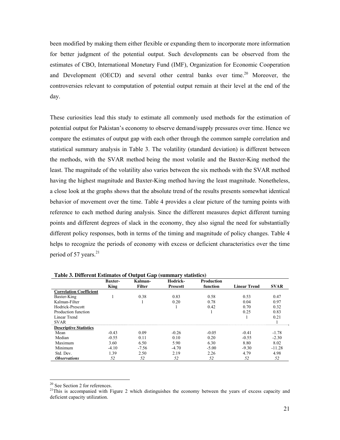been modified by making them either flexible or expanding them to incorporate more information for better judgment of the potential output. Such developments can be observed from the estimates of CBO, International Monetary Fund (IMF), Organization for Economic Cooperation and Development (OECD) and several other central banks over time.<sup>20</sup> Moreover, the controversies relevant to computation of potential output remain at their level at the end of the day.

These curiosities lead this study to estimate all commonly used methods for the estimation of potential output for Pakistan's economy to observe demand/supply pressures over time. Hence we compare the estimates of output gap with each other through the common sample correlation and statistical summary analysis in Table 3. The volatility (standard deviation) is different between the methods, with the SVAR method being the most volatile and the Baxter-King method the least. The magnitude of the volatility also varies between the six methods with the SVAR method having the highest magnitude and Baxter-King method having the least magnitude. Nonetheless, a close look at the graphs shows that the absolute trend of the results presents somewhat identical behavior of movement over the time. Table 4 provides a clear picture of the turning points with reference to each method during analysis. Since the different measures depict different turning points and different degrees of slack in the economy, they also signal the need for substantially different policy responses, both in terms of the timing and magnitude of policy changes. Table 4 helps to recognize the periods of economy with excess or deficient characteristics over the time period of 57 years. $21$ 

|                                | <b>Baxter-</b> | $\sim$ $\sim$ $\sim$ $\sim$<br>Kalman- | Hodrick- | <b>Production</b> |                     |             |
|--------------------------------|----------------|----------------------------------------|----------|-------------------|---------------------|-------------|
|                                | <b>King</b>    | <b>Filter</b>                          | Prescott | function          | <b>Linear Trend</b> | <b>SVAR</b> |
| <b>Correlation Coefficient</b> |                |                                        |          |                   |                     |             |
| Baxter-King                    |                | 0.38                                   | 0.83     | 0.58              | 0.53                | 0.47        |
| Kalman-Filter                  |                |                                        | 0.20     | 0.78              | 0.04                | 0.97        |
| Hodrick-Prescott               |                |                                        |          | 0.42              | 0.70                | 0.32        |
| Production function            |                |                                        |          |                   | 0.25                | 0.83        |
| Linear Trend                   |                |                                        |          |                   |                     | 0.21        |
| <b>SVAR</b>                    |                |                                        |          |                   |                     |             |
| <b>Descriptive Statistics</b>  |                |                                        |          |                   |                     |             |
| Mean                           | $-0.43$        | 0.09                                   | $-0.26$  | $-0.05$           | $-0.41$             | $-1.78$     |
| Median                         | $-0.55$        | 0.11                                   | 0.10     | 0.20              | $-0.55$             | $-2.30$     |
| Maximum                        | 3.60           | 6.50                                   | 5.90     | 6.30              | 8.80                | 8.02        |
| Minimum                        | $-4.10$        | $-7.56$                                | $-4.70$  | $-5.00$           | $-9.30$             | $-11.28$    |
| Std. Dev.                      | 1.39           | 2.50                                   | 2.19     | 2.26              | 4.79                | 4.98        |
| <i><b>Observations</b></i>     | 52             | 52                                     | 52       | 52                | 52                  | 52          |

**Table 3. Different Estimates of Output Gap (summary statistics)** 

 $\overline{a}$ 

<sup>&</sup>lt;sup>20</sup> See Section 2 for references.

<sup>&</sup>lt;sup>21</sup>This is accompanied with Figure 2 which distinguishes the economy between the years of excess capacity and deficient capacity utilization.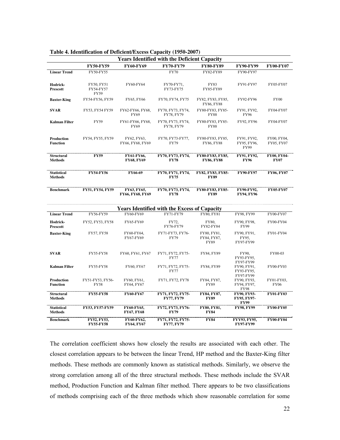|                                      | <b>Years Identified with the Deficient Capacity</b> |                                 |                                                     |                                        |                                           |                            |  |  |  |  |  |
|--------------------------------------|-----------------------------------------------------|---------------------------------|-----------------------------------------------------|----------------------------------------|-------------------------------------------|----------------------------|--|--|--|--|--|
|                                      | <b>FY50-FY59</b>                                    | <b>FY60-FY69</b>                | <b>FY70-FY79</b>                                    | <b>FY80-FY89</b>                       | <b>FY90-FY99</b>                          | <b>FY00-FY07</b>           |  |  |  |  |  |
| <b>Linear Trend</b>                  | <b>FY50-FY55</b>                                    |                                 | FY70                                                | FY82-FY89                              | FY90-FY97                                 |                            |  |  |  |  |  |
| Hodrick-<br><b>Prescott</b>          | FY50, FY51<br>FY54-FY57<br><b>FY59</b>              | FY60-FY64                       | FY70-FY71,<br>FY73-FY75                             | <b>FY83</b><br><b>FY85-FY89</b>        | FY91-FY97                                 | FY05-FY07                  |  |  |  |  |  |
| <b>Baxter-King</b>                   | FY54-FY56. FY59                                     | FY65, FY66                      | FY70, FY74, FY75                                    | FY82, FY83, FY85,<br><b>FY86. FY88</b> | FY92-FY96                                 | <b>FY00</b>                |  |  |  |  |  |
| <b>SVAR</b>                          | FY53, FY54 FY59                                     | FY62-FY66, FY68,<br>FY69        | FY70, FY73, FY74,<br>FY78, FY79                     | FY80-FY83, FY85-<br><b>FY88</b>        | FY91, FY92,<br><b>FY96</b>                | <b>FY04-FY07</b>           |  |  |  |  |  |
| <b>Kalman Filter</b>                 | <b>FY59</b>                                         | FY61-FY66, FY68,<br>FY69        | FY70, FY73, FY74,<br><b>FY78. FY79</b>              | FY80-FY83, FY85-<br><b>FY88</b>        | FY92, FY96                                | FY04-FY07                  |  |  |  |  |  |
| Production<br><b>Function</b>        | FY54, FY55, FY59                                    | FY62, FY63,<br>FY66, FY68, FY69 | FY70, FY73-FY77,<br><b>FY79</b>                     | FY80-FY83, FY85,<br><b>FY86, FY88</b>  | FY91, FY92,<br>FY95, FY96,<br><b>FY99</b> | FY00, FY04,<br>FY05, FY07  |  |  |  |  |  |
| <b>Structural</b><br><b>Methods</b>  | <b>FY59</b>                                         | FY61-FY66,<br><b>FY68, FY69</b> | FY70, FY73, FY74,<br><b>FY78</b>                    | FY80-FY83, FY85,<br><b>FY86, FY88</b>  | FY91, FY92,<br><b>FY96</b>                | FY00, FY04-<br><b>FY07</b> |  |  |  |  |  |
| <b>Statistical</b><br><b>Methods</b> | <b>FY54-FY56</b>                                    | FY66-69                         | FY70, FY71, FY74,<br><b>FY75</b>                    | FY82, FY83, FY85-<br><b>FY89</b>       | <b>FY90-FY97</b>                          | <b>FY06, FY07</b>          |  |  |  |  |  |
| <b>Benchmark</b>                     | <b>FY51, FY54, FY59</b>                             | FY63, FY65,<br>FY66, FY68, FY69 | FY70, FY73, FY74,<br><b>FY78</b>                    | FY80-FY83, FY85-<br><b>FY89</b>        | <b>FY90-FY92,</b><br><b>FY94, FY96</b>    | <b>FY05-FY07</b>           |  |  |  |  |  |
|                                      |                                                     |                                 | <b>Years Identified with the Excess of Capacity</b> |                                        |                                           |                            |  |  |  |  |  |
| <b>Linear Trend</b>                  | FY56-FY59                                           | FY60-FY69                       | FY71-FY79                                           | <b>FY80. FY81</b>                      | FY98, FY99                                | FY00-FY07                  |  |  |  |  |  |
| Hodrick-<br><b>Prescott</b>          | FY52, FY53, FY58                                    | FY65-FY69                       | FY72,<br>FY76-FY79                                  | FY80.<br>FY82-FY84                     | FY90, FY98,<br><b>FY99</b>                | <b>FY00-FY04</b>           |  |  |  |  |  |
| Royter <sub>-</sub> King             | <b>FV57 FV58</b>                                    | <b>FV60-FV64</b>                | FV71-FV73 FV76-                                     | <b>FV80 FV81</b>                       | <b>FV90 FV91</b>                          | <b>FV01-FV04</b>           |  |  |  |  |  |

| Table 4. Identification of Deficient/Excess Capacity (1950-2007) |  |  |
|------------------------------------------------------------------|--|--|
|------------------------------------------------------------------|--|--|

|                                      | <b>Years Identified with the Excess of Capacity</b> |                                 |                                        |                                           |                                                  |                           |  |  |  |  |
|--------------------------------------|-----------------------------------------------------|---------------------------------|----------------------------------------|-------------------------------------------|--------------------------------------------------|---------------------------|--|--|--|--|
| <b>Linear Trend</b>                  | FY56-FY59                                           | FY60-FY69                       | FY71-FY79                              | <b>FY80. FY81</b>                         | FY98, FY99                                       | <b>FY00-FY07</b>          |  |  |  |  |
| Hodrick-<br><b>Prescott</b>          | FY52, FY53, FY58                                    | FY65-FY69                       | FY72,<br><b>FY76-FY79</b>              | <b>FY80.</b><br>FY82-FY84                 | FY90, FY98,<br><b>FY99</b>                       | <b>FY00-FY04</b>          |  |  |  |  |
| <b>Baxter-King</b>                   | FY57, FY58                                          | FY60-FY64,<br>FY67-FY69         | FY71-FY73, FY76-<br><b>FY79</b>        | FY80, FY81,<br>FY84, FY87,<br><b>FY89</b> | FY90, FY91,<br>FY95.<br>FY97-FY99                | FY01-FY04                 |  |  |  |  |
| <b>SVAR</b>                          | <b>FY55-FY58</b>                                    | FY60, FY61, FY67                | FY71, FY72, FY75-<br><b>FY77</b>       | FY84, FY89                                | FY90.<br>FY93-FY95,<br>FY97-FY99                 | FY00-03                   |  |  |  |  |
| <b>Kalman Filter</b>                 | <b>FY55-FY58</b>                                    | FY60, FY67                      | FY71, FY72, FY75-<br><b>FY77</b>       | FY84, FY89                                | FY90, FY91,<br>FY93-FY95.<br><b>FY97-FY99</b>    | <b>FY00-FY03</b>          |  |  |  |  |
| <b>Production</b><br><b>Function</b> | FY51-FY53, FY56-<br><b>FY58</b>                     | FY60, FY61,<br>FY64, FY67       | FY71, FY72, FY78                       | FY84, FY87,<br><b>FY89</b>                | FY90, FY93,<br>FY94, FY97,<br><b>FY98</b>        | FY01-FY03,<br><b>FY06</b> |  |  |  |  |
| <b>Structural</b><br><b>Methods</b>  | <b>FY55-FY58</b>                                    | <b>FY60-FY67</b>                | FY71, FY72, FY75-<br><b>FY77. FY79</b> | FY84, FY87,<br><b>FY89</b>                | FY90, FY93-<br><b>FY95, FY97-</b><br><b>FY99</b> | <b>FY01-FY03</b>          |  |  |  |  |
| <b>Statistical</b><br><b>Methods</b> | <b>FY53, FY57-FY59</b>                              | FY60-FY65,<br><b>FY67, FY68</b> | FY72, FY73, FY76-<br><b>FY79</b>       | FY80, FY81,<br><b>FY84</b>                | <b>FY98. FY99</b>                                | <b>FY00-FY05</b>          |  |  |  |  |
| <b>Benchmark</b>                     | FY52, FY53,<br><b>FY55-FY58</b>                     | FY60-FY62,<br>FY64, FY67        | FY71, FY72, FY75-<br><b>FY77, FY79</b> | <b>FY84</b>                               | FYY93, FY95,<br><b>FY97-FY99</b>                 | <b>FY00-FY04</b>          |  |  |  |  |

The correlation coefficient shows how closely the results are associated with each other. The closest correlation appears to be between the linear Trend, HP method and the Baxter-King filter methods. These methods are commonly known as statistical methods. Similarly, we observe the strong correlation among all of the three structural methods. These methods include the SVAR method, Production Function and Kalman filter method. There appears to be two classifications of methods comprising each of the three methods which show reasonable correlation for some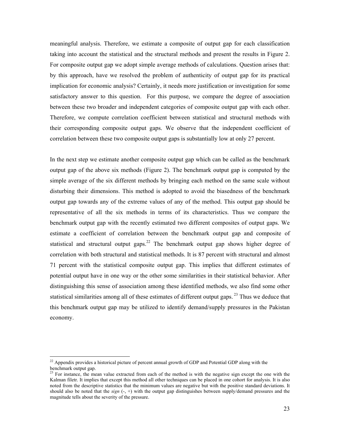meaningful analysis. Therefore, we estimate a composite of output gap for each classification taking into account the statistical and the structural methods and present the results in Figure 2. For composite output gap we adopt simple average methods of calculations. Question arises that: by this approach, have we resolved the problem of authenticity of output gap for its practical implication for economic analysis? Certainly, it needs more justification or investigation for some satisfactory answer to this question. For this purpose, we compare the degree of association between these two broader and independent categories of composite output gap with each other. Therefore, we compute correlation coefficient between statistical and structural methods with their corresponding composite output gaps. We observe that the independent coefficient of correlation between these two composite output gaps is substantially low at only 27 percent.

In the next step we estimate another composite output gap which can be called as the benchmark output gap of the above six methods (Figure 2). The benchmark output gap is computed by the simple average of the six different methods by bringing each method on the same scale without disturbing their dimensions. This method is adopted to avoid the biasedness of the benchmark output gap towards any of the extreme values of any of the method. This output gap should be representative of all the six methods in terms of its characteristics. Thus we compare the benchmark output gap with the recently estimated two different composites of output gaps. We estimate a coefficient of correlation between the benchmark output gap and composite of statistical and structural output gaps.<sup>22</sup> The benchmark output gap shows higher degree of correlation with both structural and statistical methods. It is 87 percent with structural and almost 71 percent with the statistical composite output gap. This implies that different estimates of potential output have in one way or the other some similarities in their statistical behavior. After distinguishing this sense of association among these identified methods, we also find some other statistical similarities among all of these estimates of different output gaps.<sup>23</sup> Thus we deduce that this benchmark output gap may be utilized to identify demand/supply pressures in the Pakistan economy.

 $\overline{a}$ 

 $22$  Appendix provides a historical picture of percent annual growth of GDP and Potential GDP along with the benchmark output gap.

 $23$  For instance, the mean value extracted from each of the method is with the negative sign except the one with the Kalman filetr. It implies that except this method all other techniques can be placed in one cohort for analysis. It is also noted from the descriptive statistics that the minimum values are negative but with the positive standard deviations. It should also be noted that the *sign* (-, +) with the output gap distinguishes between supply/demand pressures and the magnitude tells about the severity of the pressure.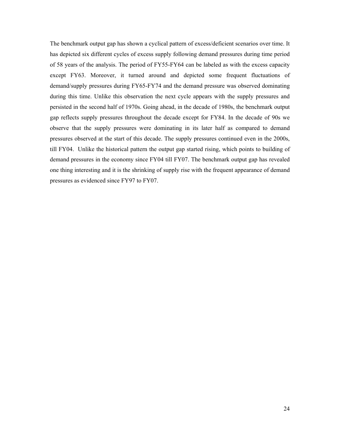The benchmark output gap has shown a cyclical pattern of excess/deficient scenarios over time. It has depicted six different cycles of excess supply following demand pressures during time period of 58 years of the analysis. The period of FY55-FY64 can be labeled as with the excess capacity except FY63. Moreover, it turned around and depicted some frequent fluctuations of demand/supply pressures during FY65-FY74 and the demand pressure was observed dominating during this time. Unlike this observation the next cycle appears with the supply pressures and persisted in the second half of 1970s. Going ahead, in the decade of 1980s, the benchmark output gap reflects supply pressures throughout the decade except for FY84. In the decade of 90s we observe that the supply pressures were dominating in its later half as compared to demand pressures observed at the start of this decade. The supply pressures continued even in the 2000s, till FY04. Unlike the historical pattern the output gap started rising, which points to building of demand pressures in the economy since FY04 till FY07. The benchmark output gap has revealed one thing interesting and it is the shrinking of supply rise with the frequent appearance of demand pressures as evidenced since FY97 to FY07.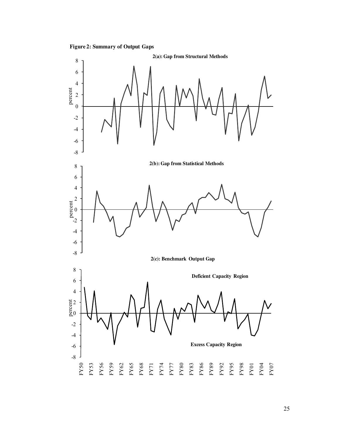

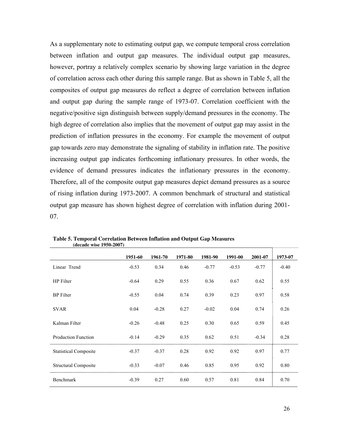As a supplementary note to estimating output gap, we compute temporal cross correlation between inflation and output gap measures. The individual output gap measures, however, portray a relatively complex scenario by showing large variation in the degree of correlation across each other during this sample range. But as shown in Table 5, all the composites of output gap measures do reflect a degree of correlation between inflation and output gap during the sample range of 1973-07. Correlation coefficient with the negative/positive sign distinguish between supply/demand pressures in the economy. The high degree of correlation also implies that the movement of output gap may assist in the prediction of inflation pressures in the economy. For example the movement of output gap towards zero may demonstrate the signaling of stability in inflation rate. The positive increasing output gap indicates forthcoming inflationary pressures. In other words, the evidence of demand pressures indicates the inflationary pressures in the economy. Therefore, all of the composite output gap measures depict demand pressures as a source of rising inflation during 1973-2007. A common benchmark of structural and statistical output gap measure has shown highest degree of correlation with inflation during 2001- 07.

|                              | 1951-60 | 1961-70 | 1971-80 | 1981-90 | 1991-00 | 2001-07 | 1973-07 |
|------------------------------|---------|---------|---------|---------|---------|---------|---------|
| Linear Trend                 | $-0.53$ | 0.34    | 0.46    | $-0.77$ | $-0.53$ | $-0.77$ | $-0.40$ |
| HP Filter                    | $-0.64$ | 0.29    | 0.55    | 0.36    | 0.67    | 0.62    | 0.55    |
| <b>BP</b> Filter             | $-0.55$ | 0.04    | 0.74    | 0.39    | 0.23    | 0.97    | 0.58    |
| <b>SVAR</b>                  | 0.04    | $-0.28$ | 0.27    | $-0.02$ | 0.04    | 0.74    | 0.26    |
| Kalman Filter                | $-0.26$ | $-0.48$ | 0.25    | 0.30    | 0.65    | 0.59    | 0.45    |
| <b>Production Function</b>   | $-0.14$ | $-0.29$ | 0.35    | 0.62    | 0.51    | $-0.34$ | 0.28    |
| <b>Statistical Composite</b> | $-0.37$ | $-0.37$ | 0.28    | 0.92    | 0.92    | 0.97    | 0.77    |
| <b>Structural Composite</b>  | $-0.33$ | $-0.07$ | 0.46    | 0.85    | 0.95    | 0.92    | 0.80    |
| Benchmark                    | $-0.39$ | 0.27    | 0.60    | 0.57    | 0.81    | 0.84    | 0.70    |

**Table 5. Temporal Correlation Between Inflation and Output Gap Measures (decade wise 1950-2007)**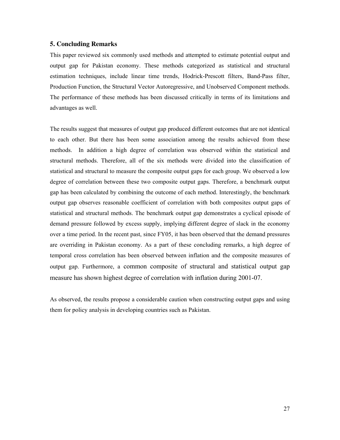#### **5. Concluding Remarks**

This paper reviewed six commonly used methods and attempted to estimate potential output and output gap for Pakistan economy. These methods categorized as statistical and structural estimation techniques, include linear time trends, Hodrick-Prescott filters, Band-Pass filter, Production Function, the Structural Vector Autoregressive, and Unobserved Component methods. The performance of these methods has been discussed critically in terms of its limitations and advantages as well.

The results suggest that measures of output gap produced different outcomes that are not identical to each other. But there has been some association among the results achieved from these methods. In addition a high degree of correlation was observed within the statistical and structural methods. Therefore, all of the six methods were divided into the classification of statistical and structural to measure the composite output gaps for each group. We observed a low degree of correlation between these two composite output gaps. Therefore, a benchmark output gap has been calculated by combining the outcome of each method. Interestingly, the benchmark output gap observes reasonable coefficient of correlation with both composites output gaps of statistical and structural methods. The benchmark output gap demonstrates a cyclical episode of demand pressure followed by excess supply, implying different degree of slack in the economy over a time period. In the recent past, since FY05, it has been observed that the demand pressures are overriding in Pakistan economy. As a part of these concluding remarks, a high degree of temporal cross correlation has been observed between inflation and the composite measures of output gap. Furthermore, a common composite of structural and statistical output gap measure has shown highest degree of correlation with inflation during 2001-07.

As observed, the results propose a considerable caution when constructing output gaps and using them for policy analysis in developing countries such as Pakistan.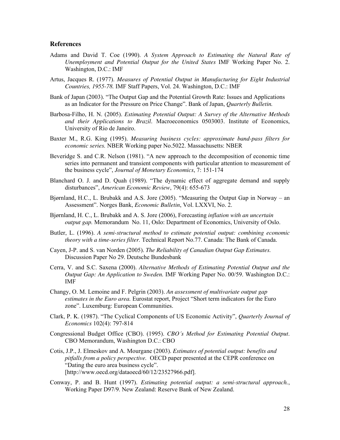#### **References**

- Adams and David T. Coe (1990). *A System Approach to Estimating the Natural Rate of Unemployment and Potential Output for the United States* IMF Working Paper No. 2. Washington, D.C.: IMF
- Artus, Jacques R. (1977). *Measures of Potential Output in Manufacturing for Eight Industrial Countries, 1955-78.* IMF Staff Papers, Vol. 24. Washington, D.C.: IMF
- Bank of Japan (2003). "The Output Gap and the Potential Growth Rate: Issues and Applications as an Indicator for the Pressure on Price Change". Bank of Japan, *Quarterly Bulletin.*
- Barbosa-Filho, H. N. (2005). *Estimating Potential Output: A Survey of the Alternative Methods and their Applications to Brazil*. Macroeconomics 0503003. Institute of Economics, University of Rio de Janeiro.
- Baxter M., R.G. King (1995). *Measuring business cycles: approximate band-pass filters for economic series.* NBER Working paper No.5022. Massachusetts: NBER
- Beveridge S. and C.R. Nelson (1981). "A new approach to the decomposition of economic time series into permanent and transient components with particular attention to measurement of the business cycle", *Journal of Monetary Economics*, 7: 151-174
- Blanchard O. J. and D. Quah (1989). "The dynamic effect of aggregate demand and supply disturbances", *American Economic Review*, 79(4): 655-673
- Bjørnland, H.C., L. Brubakk and A.S. Jore (2005). "Measuring the Output Gap in Norway an Assessment". Norges Bank, *Economic Bulletin*, Vol. LXXVI, No. 2.
- Bjørnland, H. C., L. Brubakk and A. S. Jore (2006), Forecasting *inflation with an uncertain output gap.* Memorandum No. 11, Oslo: Department of Economics, University of Oslo.
- Butler, L. (1996). *A semi-structural method to estimate potential output: combining economic theory with a time-series filter.* Technical Report No.77. Canada: The Bank of Canada.
- Cayen, J-P. and S. van Norden (2005). *The Reliability of Canadian Output Gap Estimates.* Discussion Paper No 29. Deutsche Bundesbank
- Cerra, V. and S.C. Saxena (2000). *Alternative Methods of Estimating Potential Output and the Output Gap: An Application to Sweden.* IMF Working Paper No. 00/59. Washington D.C.: IMF
- Changy, O. M. Lemoine and F. Pelgrin (2003). *An assessment of multivariate output gap estimates in the Euro area.* Eurostat report, Project "Short term indicators for the Euro zone". Luxemburg: European Communities.
- Clark, P. K. (1987). "The Cyclical Components of US Economic Activity", *Quarterly Journal of Economics* 102(4): 797-814
- Congressional Budget Office (CBO). (1995). *CBO´s Method for Estimating Potential Output*. CBO Memorandum, Washington D.C.: CBO
- Cotis, J.P., J. Elmeskov and A. Mourgane (2003). *Estimates of potential output: benefits and pitfalls from a policy perspective.* OECD paper presented at the CEPR conference on "Dating the euro area business cycle". [http://www.oecd.org/dataoecd/60/12/23527966.pdf].
- Conway, P. and B. Hunt (1997). *Estimating potential output: a semi-structural approach.*, Working Paper D97/9. New Zealand: Reserve Bank of New Zealand.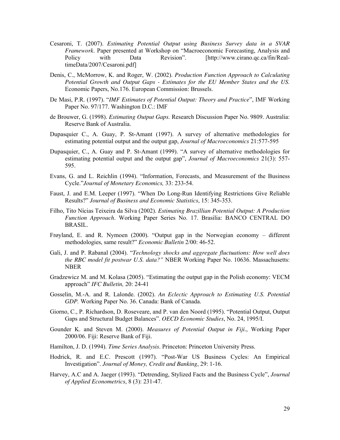- Cesaroni, T. (2007). *Estimating Potential Output using Business Survey data in a SVAR Framework*. Paper presented at Workshop on "Macroeconomic Forecasting, Analysis and Policy with Data Revision". [http://www.cirano.qc.ca/fin/RealtimeData/2007/Cesaroni.pdf]
- Denis, C., McMorrow, K. and Roger, W. (2002). *Production Function Approach to Calculating Potential Growth and Output Gaps - Estimates for the EU Member States and the US.*  Economic Papers, No.176. European Commission: Brussels.
- De Masi, P.R. (1997). "*IMF Estimates of Potential Output: Theory and Practice*", IMF Working Paper No. 97/177. Washington D.C.: IMF
- de Brouwer, G. (1998). *Estimating Output Gaps.* Research Discussion Paper No. 9809. Australia: Reserve Bank of Australia.
- Dupasquier C., A. Guay, P. St-Amant (1997). A survey of alternative methodologies for estimating potential output and the output gap, *Journal of Macroeconomics* 21:577-595
- Dupasquier, C., A. Guay and P. St-Amant (1999). "A survey of alternative methodologies for estimating potential output and the output gap", *Journal of Macroeconomics* 21(3): 557- 595.
- Evans, G. and L. Reichlin (1994). "Information, Forecasts, and Measurement of the Business Cycle."*Journal of Monetary Economics,* 33: 233-54.
- Faust, J. and E.M. Leeper (1997). "When Do Long-Run Identifying Restrictions Give Reliable Results?" *Journal of Business and Economic Statistics*, 15: 345-353.
- Filho, Tito Nícias Teixeira da Silva (2002). *Estimating Brazillian Potential Output: A Production Function Approach*. Working Paper Series No. 17. Brasilia: BANCO CENTRAL DO BRASIL.
- Frøyland, E. and R. Nymoen (2000). "Output gap in the Norwegian economy different methodologies, same result?" *Economic Bulletin* 2/00: 46-52.
- Gali, J. and P. Rabanal (2004). "*Technology shocks and aggregate fluctuations: How well does the RBC model fit postwar U.S. data?"* NBER Working Paper No. 10636. Massachusetts: NBER
- Gradzewicz M. and M. Kolasa (2005). "Estimating the output gap in the Polish economy: VECM approach" *IFC Bulletin,* 20: 24-41
- Gosselin, M.-A. and R. Lalonde. (2002). *An Eclectic Approach to Estimating U.S. Potential GDP.* Working Paper No. 36. Canada: Bank of Canada.
- Giorno, C., P. Richardson, D. Roseveare, and P. van den Noord (1995). "Potential Output, Output Gaps and Structural Budget Balances". *OECD Economic Studies*, No. 24, 1995/I.
- Gounder K. and Steven M. (2000). *Measures of Potential Output in Fiji*., Working Paper 2000/06. Fiji: Reserve Bank of Fiji.
- Hamilton, J. D. (1994). *Time Series Analysis*. Princeton: Princeton University Press.
- Hodrick, R. and E.C. Prescott (1997). "Post-War US Business Cycles: An Empirical Investigation". *Journal of Money, Credit and Banking*, 29: 1-16.
- Harvey, A.C and A. Jaeger (1993). "Detrending, Stylized Facts and the Business Cycle", *Journal of Applied Econometrics*, 8 (3): 231-47.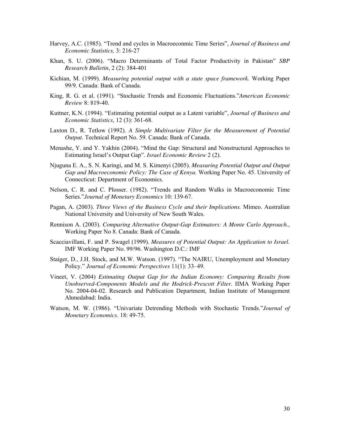- Harvey, A.C. (1985). "Trend and cycles in Macroeconmic Time Series", *Journal of Business and Economic Statistics,* 3: 216-27
- Khan, S. U. (2006). "Macro Determinants of Total Factor Productivity in Pakistan" *SBP Research Bulletin*, 2 (2): 384-401
- Kichian, M. (1999). *Measuring potential output with a state space framework.* Working Paper 99/9. Canada: Bank of Canada.
- King, R. G. et al. (1991). "Stochastic Trends and Economic Fluctuations."*American Economic Review* 8: 819-40.
- Kuttner, K.N. (1994). "Estimating potential output as a Latent variable", *Journal of Business and Economic Statistics*, 12 (3): 361-68.
- Laxton D., R. Tetlow (1992). *A Simple Multivariate Filter for the Measurement of Potential Output.* Technical Report No. 59. Canada: Bank of Canada.
- Menashe, Y. and Y. Yakhin (2004). "Mind the Gap: Structural and Nonstructural Approaches to Estimating Israel's Output Gap". *Israel Economic Review* 2 (2).
- Njuguna E. A., S. N. Karingi, and M. S. Kimenyi (2005). *Measuring Potential Output and Output Gap and Macroeconomic Policy: The Case of Kenya.* Working Paper No. 45. University of Connecticut: Department of Economics.
- Nelson, C. R. and C. Plosser. (1982). "Trends and Random Walks in Macroeconomic Time Series."*Journal of Monetary Economics* 10: 139-67.
- Pagan, A. (2003). *Three Views of the Business Cycle and their Implications.* Mimeo. Australian National University and University of New South Wales.
- Rennison A. (2003). *Comparing Alternative Output-Gap Estimators: A Monte Carlo Approach.*, Working Paper No 8. Canada: Bank of Canada.
- Scacciavillani, F. and P. Swagel (1999). *Measures of Potential Output: An Application to Israel.* IMF Working Paper No. 99/96. Washington D.C.: IMF
- Staiger, D., J.H. Stock, and M.W. Watson. (1997). "The NAIRU, Unemployment and Monetary Policy." *Journal of Economic Perspectives* 11(1): 33–49.
- Vineet, V. (2004) *Estimating Output Gap for the Indian Economy: Comparing Results from Unobserved-Components Models and the Hodrick-Prescott Filter*. IIMA Working Paper No. 2004-04-02. Research and Publication Department, Indian Institute of Management Ahmedabad: India.
- Watson, M. W. (1986). "Univariate Detrending Methods with Stochastic Trends."*Journal of Monetary Economics*. 18: 49-75.